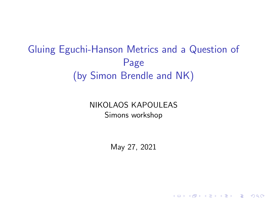## <span id="page-0-0"></span>Gluing Eguchi-Hanson Metrics and a Question of Page (by Simon Brendle and NK)

NIKOLAOS KAPOULEAS Simons workshop

May 27, 2021

K ロ ▶ K 個 ▶ K 할 ▶ K 할 ▶ 이 할 → 이익 @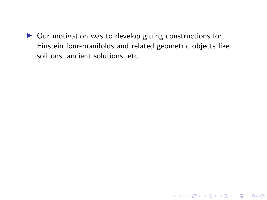$\triangleright$  Our motivation was to develop gluing constructions for Einstein four-manifolds and related geometric objects like solitons, ancient solutions, etc.

K ロ ▶ K 個 ▶ K 할 ▶ K 할 ▶ 이 할 → 9 Q Q →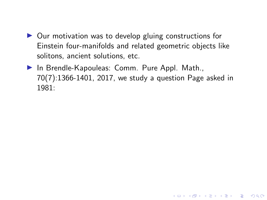- $\triangleright$  Our motivation was to develop gluing constructions for Einstein four-manifolds and related geometric objects like solitons, ancient solutions, etc.
- $\blacktriangleright$  In Brendle-Kapouleas: Comm. Pure Appl. Math., 70(7):1366-1401, 2017, we study a question Page asked in 1981:

**KORK ERKER ADAM ADA**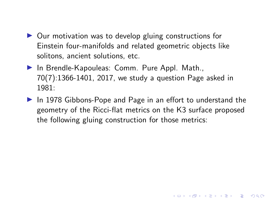- $\triangleright$  Our motivation was to develop gluing constructions for Einstein four-manifolds and related geometric objects like solitons, ancient solutions, etc.
- $\blacktriangleright$  In Brendle-Kapouleas: Comm. Pure Appl. Math., 70(7):1366-1401, 2017, we study a question Page asked in 1981:
- $\triangleright$  In 1978 Gibbons-Pope and Page in an effort to understand the geometry of the Ricci-flat metrics on the K3 surface proposed the following gluing construction for those metrics:

**KORKARYKERKER POLO**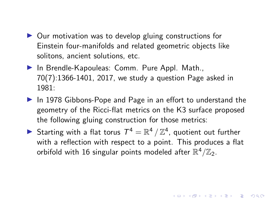- <span id="page-4-0"></span> $\triangleright$  Our motivation was to develop gluing constructions for Einstein four-manifolds and related geometric objects like solitons, ancient solutions, etc.
- $\blacktriangleright$  In Brendle-Kapouleas: Comm. Pure Appl. Math., 70(7):1366-1401, 2017, we study a question Page asked in 1981:
- $\triangleright$  In 1978 Gibbons-Pope and Page in an effort to understand the geometry of the Ricci-flat metrics on the K3 surface proposed the following gluing construction for those metrics:
- Starting with a flat torus  $T^4 = \mathbb{R}^4 / \mathbb{Z}^4$ , quotient out further with a reflection with respect to a point. This produces a flat orbifold with 16 singular points modeled after  $\mathbb{R}^4/\mathbb{Z}_2.$

**KORK EXTERNE PROVIDE**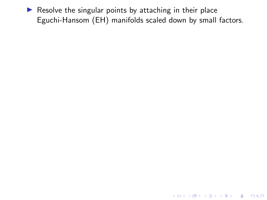<span id="page-5-0"></span> $\blacktriangleright$  Resolve the singular points by attaching in their place Eguchi-Hansom (EH) manifolds scaled down by small factors.

K ロ ▶ K @ ▶ K 할 ▶ K 할 ▶ | 할 | ⊙Q @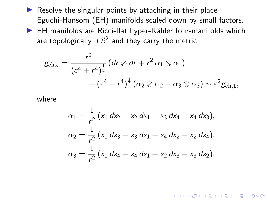- <span id="page-6-0"></span> $\blacktriangleright$  Resolve the singular points by attaching in their place Eguchi-Hansom (EH) manifolds scaled down by small factors.
- $\blacktriangleright$  EH manifolds are Ricci-flat hyper-Kähler four-manifolds which are topologically  $T\mathbb{S}^2$  and they carry the metric

$$
g_{\text{eh},\varepsilon} = \frac{r^2}{(\varepsilon^4 + r^4)^{\frac{1}{2}}} \left( dr \otimes dr + r^2 \alpha_1 \otimes \alpha_1 \right) + \left( \varepsilon^4 + r^4 \right)^{\frac{1}{2}} \left( \alpha_2 \otimes \alpha_2 + \alpha_3 \otimes \alpha_3 \right) \sim \varepsilon^2 g_{\text{eh},1},
$$

where

$$
\alpha_1 = \frac{1}{r^2} (x_1 dx_2 - x_2 dx_1 + x_3 dx_4 - x_4 dx_3),
$$
  
\n
$$
\alpha_2 = \frac{1}{r^2} (x_1 dx_3 - x_3 dx_1 + x_4 dx_2 - x_2 dx_4),
$$
  
\n
$$
\alpha_3 = \frac{1}{r^2} (x_1 dx_4 - x_4 dx_1 + x_2 dx_3 - x_3 dx_2).
$$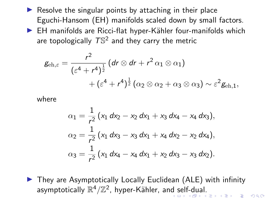- <span id="page-7-0"></span> $\triangleright$  Resolve the singular points by attaching in their place Eguchi-Hansom (EH) manifolds scaled down by small factors.
- $\blacktriangleright$  EH manifolds are Ricci-flat hyper-Kähler four-manifolds which are topologically  $T\mathbb{S}^2$  and they carry the metric

$$
g_{\text{eh},\varepsilon} = \frac{r^2}{(\varepsilon^4 + r^4)^{\frac{1}{2}}} \left( dr \otimes dr + r^2 \alpha_1 \otimes \alpha_1 \right) + \left( \varepsilon^4 + r^4 \right)^{\frac{1}{2}} \left( \alpha_2 \otimes \alpha_2 + \alpha_3 \otimes \alpha_3 \right) \sim \varepsilon^2 g_{\text{eh},1},
$$

where

$$
\alpha_1 = \frac{1}{r^2} (x_1 dx_2 - x_2 dx_1 + x_3 dx_4 - x_4 dx_3),
$$
  
\n
$$
\alpha_2 = \frac{1}{r^2} (x_1 dx_3 - x_3 dx_1 + x_4 dx_2 - x_2 dx_4),
$$
  
\n
$$
\alpha_3 = \frac{1}{r^2} (x_1 dx_4 - x_4 dx_1 + x_2 dx_3 - x_3 dx_2).
$$

 $\triangleright$  They are Asymptotically Locally Euclidean (ALE) with infinity [a](#page-8-0)symptotically  $\mathbb{R}^4/\mathbb{Z}^2$ , hyper-Kähler, an[d](#page-5-0) s[el](#page-8-0)[f-](#page-4-0)d[u](#page-7-0)a[l.](#page-0-0)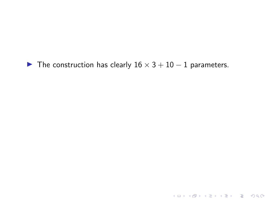<span id="page-8-0"></span> $\blacktriangleright$  The construction has clearly  $16 \times 3 + 10 - 1$  parameters.

KOKK@KKEKKEK E 1990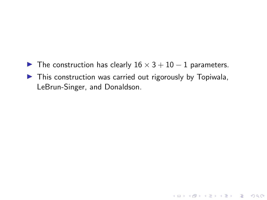- $\triangleright$  The construction has clearly  $16 \times 3 + 10 1$  parameters.
- $\blacktriangleright$  This construction was carried out rigorously by Topiwala, LeBrun-Singer, and Donaldson.

K ロ ▶ K 個 ▶ K 할 ▶ K 할 ▶ 이 할 → 9 Q Q →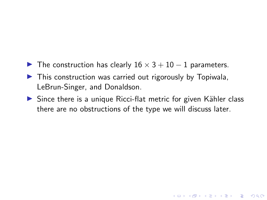- $\triangleright$  The construction has clearly  $16 \times 3 + 10 1$  parameters.
- $\blacktriangleright$  This construction was carried out rigorously by Topiwala, LeBrun-Singer, and Donaldson.
- $\triangleright$  Since there is a unique Ricci-flat metric for given Kähler class there are no obstructions of the type we will discuss later.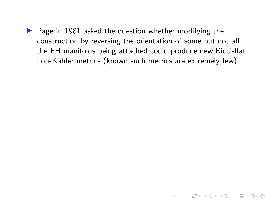$\triangleright$  Page in 1981 asked the question whether modifying the construction by reversing the orientation of some but not all the EH manifolds being attached could produce new Ricci-flat non-Kähler metrics (known such metrics are extremely few).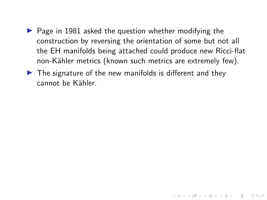$\blacktriangleright$  Page in 1981 asked the question whether modifying the construction by reversing the orientation of some but not all the EH manifolds being attached could produce new Ricci-flat non-Kähler metrics (known such metrics are extremely few).

4 0 > 4 4 + 4 = + 4 = + = + + 0 4 0 +

 $\blacktriangleright$  The signature of the new manifolds is different and they cannot be Kähler.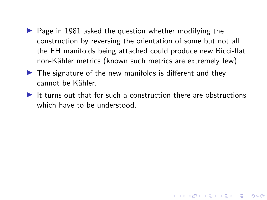- $\triangleright$  Page in 1981 asked the question whether modifying the construction by reversing the orientation of some but not all the EH manifolds being attached could produce new Ricci-flat non-Kähler metrics (known such metrics are extremely few).
- $\blacktriangleright$  The signature of the new manifolds is different and they cannot be Kähler.
- $\blacktriangleright$  It turns out that for such a construction there are obstructions which have to be understood.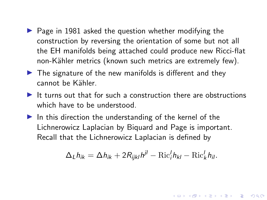- $\triangleright$  Page in 1981 asked the question whether modifying the construction by reversing the orientation of some but not all the EH manifolds being attached could produce new Ricci-flat non-Kähler metrics (known such metrics are extremely few).
- $\blacktriangleright$  The signature of the new manifolds is different and they cannot be Kähler.
- It turns out that for such a construction there are obstructions which have to be understood.
- $\blacktriangleright$  In this direction the understanding of the kernel of the Lichnerowicz Laplacian by Biquard and Page is important. Recall that the Lichnerowicz Laplacian is defined by

$$
\Delta_L h_{ik} = \Delta h_{ik} + 2R_{ijkl}h^{jl} - \text{Ric}_i^l h_{kl} - \text{Ric}_k^l h_{il}.
$$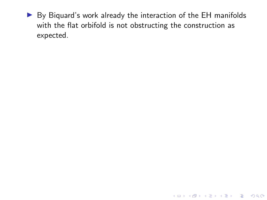$\triangleright$  By Biquard's work already the interaction of the EH manifolds with the flat orbifold is not obstructing the construction as expected.

KO K K Ø K K E K K E K V K K K K K K K K K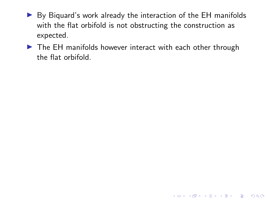- $\triangleright$  By Biguard's work already the interaction of the EH manifolds with the flat orbifold is not obstructing the construction as expected.
- $\triangleright$  The EH manifolds however interact with each other through the flat orbifold.

K ロ ▶ K 個 ▶ K 할 ▶ K 할 ▶ 이 할 → 9 Q Q →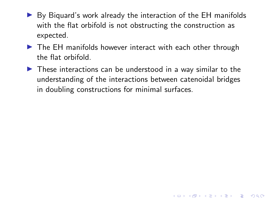- $\triangleright$  By Biguard's work already the interaction of the EH manifolds with the flat orbifold is not obstructing the construction as expected.
- $\blacktriangleright$  The EH manifolds however interact with each other through the flat orbifold.
- $\triangleright$  These interactions can be understood in a way similar to the understanding of the interactions between catenoidal bridges in doubling constructions for minimal surfaces.

K ロ ▶ K 個 ▶ K 할 ▶ K 할 ▶ 이 할 → 9 Q Q →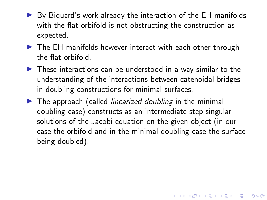- $\triangleright$  By Biguard's work already the interaction of the EH manifolds with the flat orbifold is not obstructing the construction as expected.
- $\triangleright$  The EH manifolds however interact with each other through the flat orbifold.
- $\blacktriangleright$  These interactions can be understood in a way similar to the understanding of the interactions between catenoidal bridges in doubling constructions for minimal surfaces.
- $\blacktriangleright$  The approach (called *linearized doubling* in the minimal doubling case) constructs as an intermediate step singular solutions of the Jacobi equation on the given object (in our case the orbifold and in the minimal doubling case the surface being doubled).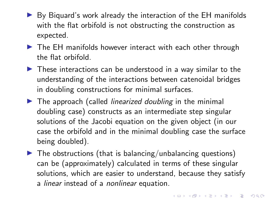- $\triangleright$  By Biguard's work already the interaction of the EH manifolds with the flat orbifold is not obstructing the construction as expected.
- $\triangleright$  The EH manifolds however interact with each other through the flat orbifold.
- $\blacktriangleright$  These interactions can be understood in a way similar to the understanding of the interactions between catenoidal bridges in doubling constructions for minimal surfaces.
- $\blacktriangleright$  The approach (called *linearized doubling* in the minimal doubling case) constructs as an intermediate step singular solutions of the Jacobi equation on the given object (in our case the orbifold and in the minimal doubling case the surface being doubled).
- $\blacktriangleright$  The obstructions (that is balancing/unbalancing questions) can be (approximately) calculated in terms of these singular solutions, which are easier to understand, because they satisfy a linear instead of a nonlinear equation.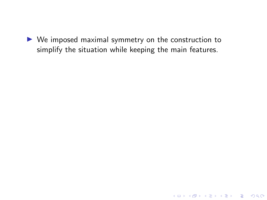$\triangleright$  We imposed maximal symmetry on the construction to simplify the situation while keeping the main features.

KO KKOKKEKKEK E DAG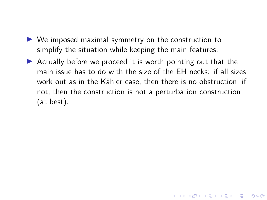- $\triangleright$  We imposed maximal symmetry on the construction to simplify the situation while keeping the main features.
- $\triangleright$  Actually before we proceed it is worth pointing out that the main issue has to do with the size of the EH necks: if all sizes work out as in the Kähler case, then there is no obstruction, if not, then the construction is not a perturbation construction (at best).

4 0 > 4 4 + 4 = + 4 = + = + + 0 4 0 +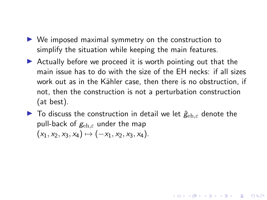- $\triangleright$  We imposed maximal symmetry on the construction to simplify the situation while keeping the main features.
- $\triangleright$  Actually before we proceed it is worth pointing out that the main issue has to do with the size of the EH necks: if all sizes work out as in the Kähler case, then there is no obstruction, if not, then the construction is not a perturbation construction (at best).
- $\triangleright$  To discuss the construction in detail we let  $\hat{g}_{eh,\varepsilon}$  denote the pull-back of  $g_{eh,\varepsilon}$  under the map  $(x_1, x_2, x_3, x_4) \mapsto (-x_1, x_2, x_3, x_4).$

**KORKAR KERKER SAGA**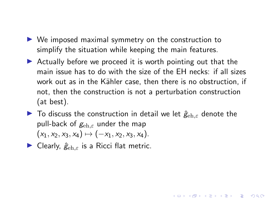- $\triangleright$  We imposed maximal symmetry on the construction to simplify the situation while keeping the main features.
- $\triangleright$  Actually before we proceed it is worth pointing out that the main issue has to do with the size of the EH necks: if all sizes work out as in the Kähler case, then there is no obstruction, if not, then the construction is not a perturbation construction (at best).
- $\triangleright$  To discuss the construction in detail we let  $\hat{g}_{eh,\varepsilon}$  denote the pull-back of  $g_{eh,\varepsilon}$  under the map  $(x_1, x_2, x_3, x_4) \mapsto (-x_1, x_2, x_3, x_4).$

**KORKAR KERKER SAGA** 

**In Clearly,**  $\hat{g}_{eh,\varepsilon}$  **is a Ricci flat metric.**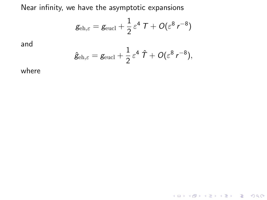Near infinity, we have the asymptotic expansions

$$
g_{\text{\rm eh},\varepsilon} = g_{\text{\rm eucl}} + \frac{1}{2} \varepsilon^4 T + O(\varepsilon^8 r^{-8})
$$

and

$$
\hat{g}_{\mathrm{eh},\varepsilon} = g_{\mathrm{eucl}} + \frac{1}{2} \varepsilon^4 \hat{\mathcal{T}} + O(\varepsilon^8 r^{-8}),
$$

K ロ ▶ K @ ▶ K 할 ▶ K 할 ▶ | 할 | ⊙Q @

where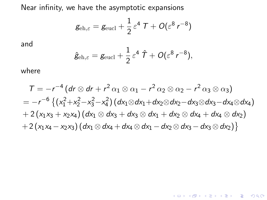Near infinity, we have the asymptotic expansions

$$
g_{\text{\rm eh},\varepsilon} = g_{\text{\rm eucl}} + \frac{1}{2} \varepsilon^4 T + O(\varepsilon^8 r^{-8})
$$

and

$$
\hat{g}_{\text{\rm eh},\varepsilon} = g_{\text{\rm eucl}} + \frac{1}{2} \varepsilon^4 \hat{\mathcal{T}} + O(\varepsilon^8 r^{-8}),
$$

where

$$
T = -r^{-4} (dr \otimes dr + r^2 \alpha_1 \otimes \alpha_1 - r^2 \alpha_2 \otimes \alpha_2 - r^2 \alpha_3 \otimes \alpha_3)
$$
  
= -r^{-6} { (x<sub>1</sub><sup>2</sup>+x<sub>2</sub><sup>2</sup>-x<sub>3</sub><sup>2</sup>-x<sub>4</sub><sup>2</sup>) (dx<sub>1</sub> \otimes dx<sub>1</sub>+dx<sub>2</sub> \otimes dx<sub>2</sub>-dx<sub>3</sub> \otimes dx<sub>3</sub>-dx<sub>4</sub> \otimes dx<sub>4</sub>)  
+ 2 (x<sub>1</sub>x<sub>3</sub> + x<sub>2</sub>x<sub>4</sub>) (dx<sub>1</sub> \otimes dx<sub>3</sub> + dx<sub>3</sub> \otimes dx<sub>1</sub> + dx<sub>2</sub> \otimes dx<sub>4</sub> + dx<sub>4</sub> \otimes dx<sub>2</sub>)  
+ 2 (x<sub>1</sub>x<sub>4</sub> - x<sub>2</sub>x<sub>3</sub>) (dx<sub>1</sub> \otimes dx<sub>4</sub> + dx<sub>4</sub> \otimes dx<sub>1</sub> - dx<sub>2</sub> \otimes dx<sub>3</sub> - dx<sub>3</sub> \otimes dx<sub>2</sub>) }

K ロ ▶ K @ ▶ K 할 ▶ K 할 ▶ | 할 | ⊙Q @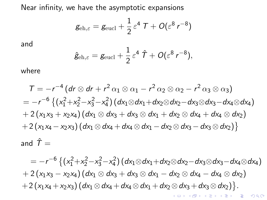Near infinity, we have the asymptotic expansions

$$
g_{\text{\rm eh},\varepsilon} = g_{\text{\rm eucl}} + \frac{1}{2} \varepsilon^4 T + O(\varepsilon^8 r^{-8})
$$

and

$$
\hat{g}_{\text{\rm eh},\varepsilon} = g_{\text{\rm eucl}} + \frac{1}{2} \varepsilon^4 \hat{\mathcal{T}} + O(\varepsilon^8 r^{-8}),
$$

where

$$
T = -r^{-4} (dr \otimes dr + r^2 \alpha_1 \otimes \alpha_1 - r^2 \alpha_2 \otimes \alpha_2 - r^2 \alpha_3 \otimes \alpha_3)
$$
  
= 
$$
-r^{-6} \{ (x_1^2 + x_2^2 - x_3^2 - x_4^2) (dx_1 \otimes dx_1 + dx_2 \otimes dx_2 - dx_3 \otimes dx_3 - dx_4 \otimes dx_4)
$$
  
+ 
$$
2 (x_1x_3 + x_2x_4) (dx_1 \otimes dx_3 + dx_3 \otimes dx_1 + dx_2 \otimes dx_4 + dx_4 \otimes dx_2)
$$
  
+ 
$$
2 (x_1x_4 - x_2x_3) (dx_1 \otimes dx_4 + dx_4 \otimes dx_1 - dx_2 \otimes dx_3 - dx_3 \otimes dx_2)
$$
}  
and 
$$
\hat{T} =
$$

 $= -r^{-6}\left\{(x_1^2+x_2^2-x_3^2-x_4^2)(dx_1\otimes dx_1+dx_2\otimes dx_2-dx_3\otimes dx_3-dx_4\otimes dx_4\right\}$  $+ 2 (x_1x_3 - x_2x_4) (dx_1 \otimes dx_3 + dx_3 \otimes dx_1 - dx_2 \otimes dx_4 - dx_4 \otimes dx_2)$  $+ 2(x_1x_4 + x_2x_3) (dx_1 \otimes dx_4 + dx_4 \otimes dx_1 + dx_2 \otimes dx_3 + dx_3 \otimes dx_2).$ K □ K K 레 K K 레 K X X K K H X X K K H 제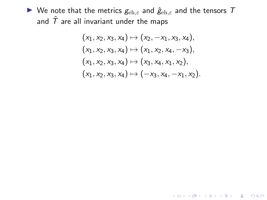$\blacktriangleright$  We note that the metrics  $g_{\text{eh},\varepsilon}$  and  $\hat{g}_{\text{eh},\varepsilon}$  and the tensors  $T$ and  $\hat{T}$  are all invariant under the maps

$$
(x_1, x_2, x_3, x_4) \mapsto (x_2, -x_1, x_3, x_4),
$$
  
\n
$$
(x_1, x_2, x_3, x_4) \mapsto (x_1, x_2, x_4, -x_3),
$$
  
\n
$$
(x_1, x_2, x_3, x_4) \mapsto (x_3, x_4, x_1, x_2),
$$
  
\n
$$
(x_1, x_2, x_3, x_4) \mapsto (-x_3, x_4, -x_1, x_2).
$$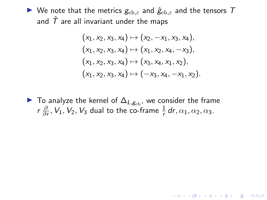$\triangleright$  We note that the metrics  $g_{\text{eh},\varepsilon}$  and  $\hat{g}_{\text{eh},\varepsilon}$  and the tensors  $T$ and  $\hat{T}$  are all invariant under the maps

$$
(x_1, x_2, x_3, x_4) \mapsto (x_2, -x_1, x_3, x_4),
$$
  
\n
$$
(x_1, x_2, x_3, x_4) \mapsto (x_1, x_2, x_4, -x_3),
$$
  
\n
$$
(x_1, x_2, x_3, x_4) \mapsto (x_3, x_4, x_1, x_2),
$$
  
\n
$$
(x_1, x_2, x_3, x_4) \mapsto (-x_3, x_4, -x_1, x_2).
$$

► To analyze the kernel of  $\Delta_{L,g_{\text{eh}}}$ , we consider the frame r ∂  $\frac{\partial}{\partial r}, V_1, V_2, V_3$  dual to the co-frame  $\frac{1}{r}$  dr,  $\alpha_1, \alpha_2, \alpha_3$ .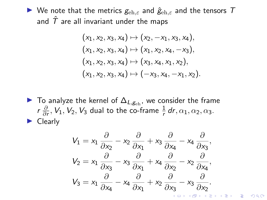$\blacktriangleright$  We note that the metrics  $g_{\text{eh},\varepsilon}$  and  $\hat{g}_{\text{eh},\varepsilon}$  and the tensors  $T$ and  $\hat{T}$  are all invariant under the maps

$$
(x_1, x_2, x_3, x_4) \mapsto (x_2, -x_1, x_3, x_4),
$$
  
\n
$$
(x_1, x_2, x_3, x_4) \mapsto (x_1, x_2, x_4, -x_3),
$$
  
\n
$$
(x_1, x_2, x_3, x_4) \mapsto (x_3, x_4, x_1, x_2),
$$
  
\n
$$
(x_1, x_2, x_3, x_4) \mapsto (-x_3, x_4, -x_1, x_2).
$$

► To analyze the kernel of  $\Delta_{L,g_{\text{ch}}}$ , we consider the frame r ∂  $\frac{\partial}{\partial r}, V_1, V_2, V_3$  dual to the co-frame  $\frac{1}{r}$  dr,  $\alpha_1, \alpha_2, \alpha_3$ .  $\blacktriangleright$  Clearly

$$
V_1 = x_1 \frac{\partial}{\partial x_2} - x_2 \frac{\partial}{\partial x_1} + x_3 \frac{\partial}{\partial x_4} - x_4 \frac{\partial}{\partial x_3},
$$
  
\n
$$
V_2 = x_1 \frac{\partial}{\partial x_3} - x_3 \frac{\partial}{\partial x_1} + x_4 \frac{\partial}{\partial x_2} - x_2 \frac{\partial}{\partial x_4},
$$
  
\n
$$
V_3 = x_1 \frac{\partial}{\partial x_4} - x_4 \frac{\partial}{\partial x_1} + x_2 \frac{\partial}{\partial x_3} - x_3 \frac{\partial}{\partial x_2}.
$$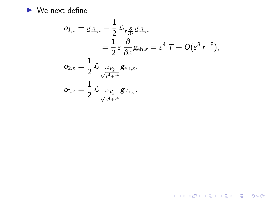$\blacktriangleright$  We next define

$$
\begin{aligned} o_{1,\varepsilon} &= g_{\text{\rm eh},\varepsilon} - \frac{1}{2} \mathcal{L}_{r\frac{\partial}{\partial r}} g_{\text{\rm eh},\varepsilon} \\ &= \frac{1}{2} \varepsilon \frac{\partial}{\partial \varepsilon} g_{\text{\rm eh},\varepsilon} = \varepsilon^4 \mathcal{T} + O(\varepsilon^8 \, r^{-8}), \\ o_{2,\varepsilon} &= \frac{1}{2} \mathcal{L}_{\frac{r^2 V_2}{\sqrt{\varepsilon^4 + r^4}}} g_{\text{\rm eh},\varepsilon}, \\ o_{3,\varepsilon} &= \frac{1}{2} \mathcal{L}_{\frac{r^2 V_3}{\sqrt{\varepsilon^4 + r^4}}} g_{\text{\rm eh},\varepsilon}. \end{aligned}
$$

K ロ K K d K K B K K B K X A K K K G K C K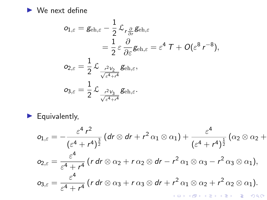<span id="page-31-0"></span> $\blacktriangleright$  We next define

$$
\begin{aligned} o_{1,\varepsilon} &= g_{\text{\rm eh},\varepsilon} - \frac{1}{2}\mathcal{L}_{r\frac{\partial}{\partial r}}g_{\text{\rm eh},\varepsilon} \\ &= \frac{1}{2}\varepsilon\frac{\partial}{\partial \varepsilon}g_{\text{\rm eh},\varepsilon} = \varepsilon^4\mathcal{T} + O(\varepsilon^8\,r^{-8}), \\ o_{2,\varepsilon} &= \frac{1}{2}\mathcal{L}_{\frac{r^2V_2}{\sqrt{\varepsilon^4+r^4}}}g_{\text{\rm eh},\varepsilon}, \\ o_{3,\varepsilon} &= \frac{1}{2}\mathcal{L}_{\frac{r^2V_3}{\sqrt{\varepsilon^4+r^4}}}g_{\text{\rm eh},\varepsilon}. \end{aligned}
$$

 $\blacktriangleright$  Equivalently,

$$
o_{1,\varepsilon} = -\frac{\varepsilon^4 r^2}{(\varepsilon^4 + r^4)^{\frac{3}{2}}} (dr \otimes dr + r^2 \alpha_1 \otimes \alpha_1) + \frac{\varepsilon^4}{(\varepsilon^4 + r^4)^{\frac{1}{2}}} (\alpha_2 \otimes \alpha_2 +
$$
  
\n
$$
o_{2,\varepsilon} = \frac{\varepsilon^4}{\varepsilon^4 + r^4} (r dr \otimes \alpha_2 + r \alpha_2 \otimes dr - r^2 \alpha_1 \otimes \alpha_3 - r^2 \alpha_3 \otimes \alpha_1),
$$
  
\n
$$
o_{3,\varepsilon} = \frac{\varepsilon^4}{\varepsilon^4 + r^4} (r dr \otimes \alpha_3 + r \alpha_3 \otimes dr + r^2 \alpha_1 \otimes \alpha_2 + r^2 \alpha_2 \otimes \alpha_1).
$$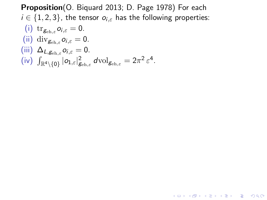<span id="page-32-0"></span>Proposition(O. Biquard 2013; D. Page 1978) For each  $i \in \{1, 2, 3\}$ , the tensor  $o_{i,\varepsilon}$  has the following properties: (i)  $\operatorname{tr}_{g_{\text{\rm eh},\varepsilon}} o_{i,\varepsilon} = 0.$ (ii) div $g_{\text{eh},\varepsilon}$   $o_{i,\varepsilon} = 0$ . (iii)  $\Delta_{L,g_{\text{eh},\varepsilon}} o_{i,\varepsilon} = 0.$  $\left( \text{iv} \right) \ \int_{\mathbb{R}^4 \setminus \{0\}} |o_{1, \varepsilon}|^2_{\mathcal{B}_{\text{\rm eh}, \varepsilon}} \, d\text{\rm vol}_{\mathcal{B}_{\text{\rm eh}, \varepsilon}} = 2\pi^2 \, \varepsilon^4.$ 

**KORK ERKER ADAM ADA**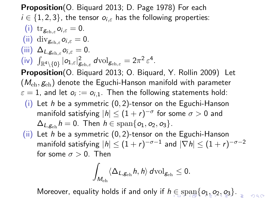<span id="page-33-0"></span>Proposition (O. Biguard 2013; D. Page 1978) For each  $i \in \{1,2,3\}$ , the tensor  $o_{i,\varepsilon}$  has the following properties: (i)  $\operatorname{tr}_{g_{\text{\rm eh},\varepsilon}} o_{i,\varepsilon} = 0.$ (ii) div $g_{\text{eh},\varepsilon}$   $o_{i,\varepsilon} = 0$ . (iii)  $\Delta_{L,g_{\text{eh},\varepsilon}} o_{i,\varepsilon} = 0.$  $\left( \text{iv} \right) \ \int_{\mathbb{R}^4 \setminus \{0\}} |o_{1, \varepsilon}|^2_{\mathcal{B}_{\text{\rm eh}, \varepsilon}} \, d\text{\rm vol}_{\mathcal{B}_{\text{\rm eh}, \varepsilon}} = 2\pi^2 \, \varepsilon^4.$ Proposition(O. Biquard 2013; O. Biquard, Y. Rollin 2009) Let  $(M_{\text{eh}}, g_{\text{eh}})$  denote the Eguchi-Hanson manifold with parameter  $\varepsilon=1$ , and let  $o_i:=o_{i,1}.$  Then the following statements hold: (i) Let h be a symmetric  $(0, 2)$ -tensor on the Eguchi-Hanson manifold satisfying  $|h| \leq (1+r)^{-\sigma}$  for some  $\sigma > 0$  and  $\Delta_{L,\mathcal{G}_{\text{ch}}}$  h = 0. Then  $h \in \text{span}\{o_1, o_2, o_3\}.$ (ii) Let h be a symmetric  $(0, 2)$ -tensor on the Eguchi-Hanson manifold satisfying  $|h| \leq (1+r)^{-\sigma-1}$  and  $|\nabla h| \leq (1+r)^{-\sigma-2}$ for some  $\sigma > 0$ . Then

$$
\int_{M_{\text{\rm eh}}}\langle \Delta_{L,\text{g}_{\text{\rm eh}}}h,h\rangle\,d\text{\rm vol}_{\text{g}_{\text{\rm eh}}}\leq 0.
$$

Moreover, equ[a](#page-31-0)lity holds if a[n](#page-32-0)d [o](#page-0-0)nly if  $h \in \text{span}\{o_1, o_2, o_3\}$  $h \in \text{span}\{o_1, o_2, o_3\}$  $h \in \text{span}\{o_1, o_2, o_3\}$  $h \in \text{span}\{o_1, o_2, o_3\}$  $h \in \text{span}\{o_1, o_2, o_3\}$  $h \in \text{span}\{o_1, o_2, o_3\}$  $h \in \text{span}\{o_1, o_2, o_3\}$  $h \in \text{span}\{o_1, o_2, o_3\}$  $h \in \text{span}\{o_1, o_2, o_3\}$  $h \in \text{span}\{o_1, o_2, o_3\}$  $h \in \text{span}\{o_1, o_2, o_3\}$  $h \in \text{span}\{o_1, o_2, o_3\}$  $h \in \text{span}\{o_1, o_2, o_3\}$ [.](#page-0-0)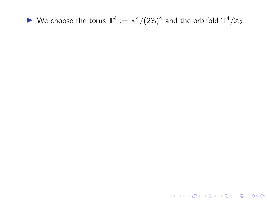<span id="page-34-0"></span> $\blacktriangleright$  We choose the torus  $\mathbb{T}^4 := \mathbb{R}^4 / (2\mathbb{Z})^4$  and the orbifold  $\mathbb{T}^4 / \mathbb{Z}_2$ .

KOK KØK KEK KEK I EL 1990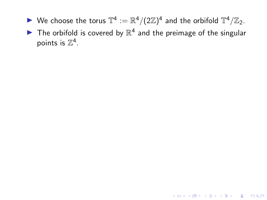- $\blacktriangleright$  We choose the torus  $\mathbb{T}^4 := \mathbb{R}^4 / (2\mathbb{Z})^4$  and the orbifold  $\mathbb{T}^4 / \mathbb{Z}_2$ .
- $\blacktriangleright$  The orbifold is covered by  $\mathbb{R}^4$  and the preimage of the singular points is  $\mathbb{Z}^4$ .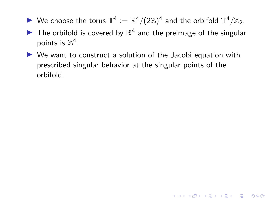- $\blacktriangleright$  We choose the torus  $\mathbb{T}^4 := \mathbb{R}^4 / (2\mathbb{Z})^4$  and the orbifold  $\mathbb{T}^4 / \mathbb{Z}_2$ .
- $\blacktriangleright$  The orbifold is covered by  $\mathbb{R}^4$  and the preimage of the singular points is  $\mathbb{Z}^4$ .
- $\triangleright$  We want to construct a solution of the Jacobi equation with prescribed singular behavior at the singular points of the orbifold.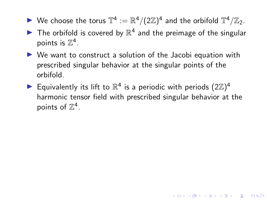- $\blacktriangleright$  We choose the torus  $\mathbb{T}^4 := \mathbb{R}^4 / (2\mathbb{Z})^4$  and the orbifold  $\mathbb{T}^4 / \mathbb{Z}_2$ .
- $\blacktriangleright$  The orbifold is covered by  $\mathbb{R}^4$  and the preimage of the singular points is  $\mathbb{Z}^4$ .
- $\triangleright$  We want to construct a solution of the Jacobi equation with prescribed singular behavior at the singular points of the orbifold.
- Equivalently its lift to  $\mathbb{R}^4$  is a periodic with periods  $(2\mathbb{Z})^4$ harmonic tensor field with prescribed singular behavior at the points of  $\mathbb{Z}^4$ .

**KORKAR KERKER SAGA**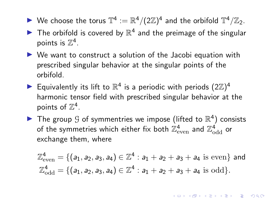- <span id="page-38-0"></span> $\blacktriangleright$  We choose the torus  $\mathbb{T}^4 := \mathbb{R}^4 / (2\mathbb{Z})^4$  and the orbifold  $\mathbb{T}^4 / \mathbb{Z}_2$ .
- $\blacktriangleright$  The orbifold is covered by  $\mathbb{R}^4$  and the preimage of the singular points is  $\mathbb{Z}^4$ .
- $\triangleright$  We want to construct a solution of the Jacobi equation with prescribed singular behavior at the singular points of the orbifold.
- Equivalently its lift to  $\mathbb{R}^4$  is a periodic with periods  $(2\mathbb{Z})^4$ harmonic tensor field with prescribed singular behavior at the points of  $\mathbb{Z}^4$ .
- The group  $G$  of symmentries we impose (lifted to  $\mathbb{R}^4$ ) consists of the symmetries which either fix both  $\mathbb{Z}_{\text{\rm even}}^4$  and  $\mathbb{Z}_{\text{\rm odd}}^4$  or exchange them, where

$$
\mathbb{Z}_{even}^4 = \{ (a_1, a_2, a_3, a_4) \in \mathbb{Z}^4 : a_1 + a_2 + a_3 + a_4 \text{ is even} \} \text{ and}
$$
  

$$
\mathbb{Z}_{odd}^4 = \{ (a_1, a_2, a_3, a_4) \in \mathbb{Z}^4 : a_1 + a_2 + a_3 + a_4 \text{ is odd} \}.
$$

**KORKAR KERKER SAGA**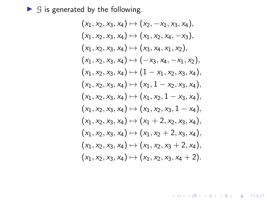<span id="page-39-0"></span> $\triangleright$  G is generated by the following.

$$
(x_1, x_2, x_3, x_4) \mapsto (x_2, -x_1, x_3, x_4),(x_1, x_2, x_3, x_4) \mapsto (x_1, x_2, x_4, -x_3),(x_1, x_2, x_3, x_4) \mapsto (x_3, x_4, x_1, x_2),(x_1, x_2, x_3, x_4) \mapsto (-x_3, x_4, -x_1, x_2),(x_1, x_2, x_3, x_4) \mapsto (1 - x_1, x_2, x_3, x_4),(x_1, x_2, x_3, x_4) \mapsto (x_1, 1 - x_2, x_3, x_4),(x_1, x_2, x_3, x_4) \mapsto (x_1, x_2, 1 - x_3, x_4),(x_1, x_2, x_3, x_4) \mapsto (x_1, x_2, x_3, 1 - x_4),(x_1, x_2, x_3, x_4) \mapsto (x_1 + 2, x_2, x_3, x_4),(x_1, x_2, x_3, x_4) \mapsto (x_1, x_2 + 2, x_3, x_4),(x_1, x_2, x_3, x_4) \mapsto (x_1, x_2, x_3 + 2, x_4),(x_1, x_2, x_3, x_4) \mapsto (x_1, x_2, x_3, x_4 + 2).
$$

K ロ X イロ X K ミ X K ミ X ミ X D V Q (V)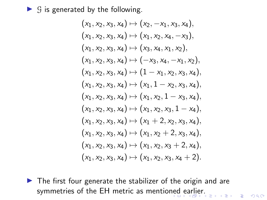<span id="page-40-0"></span> $\triangleright$  G is generated by the following.

$$
(x_1, x_2, x_3, x_4) \mapsto (x_2, -x_1, x_3, x_4),(x_1, x_2, x_3, x_4) \mapsto (x_1, x_2, x_4, -x_3),(x_1, x_2, x_3, x_4) \mapsto (x_3, x_4, x_1, x_2),(x_1, x_2, x_3, x_4) \mapsto (-x_3, x_4, -x_1, x_2),(x_1, x_2, x_3, x_4) \mapsto (1 - x_1, x_2, x_3, x_4),(x_1, x_2, x_3, x_4) \mapsto (x_1, 1 - x_2, x_3, x_4),(x_1, x_2, x_3, x_4) \mapsto (x_1, x_2, 1 - x_3, x_4),(x_1, x_2, x_3, x_4) \mapsto (x_1, x_2, x_3, 1 - x_4),(x_1, x_2, x_3, x_4) \mapsto (x_1 + 2, x_2, x_3, x_4),(x_1, x_2, x_3, x_4) \mapsto (x_1, x_2 + 2, x_3, x_4),(x_1, x_2, x_3, x_4) \mapsto (x_1, x_2, x_3 + 2, x_4),(x_1, x_2, x_3, x_4) \mapsto (x_1, x_2, x_3, x_4 + 2).
$$

 $\blacktriangleright$  The first four generate the stabilizer of the origin and are symmetries of the EH metric as mentio[ned](#page-39-0) [e](#page-41-0)[a](#page-38-0)[rl](#page-39-0)[i](#page-40-0)[er](#page-41-0)[.](#page-0-0)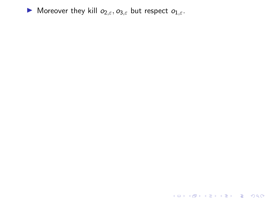<span id="page-41-0"></span>

KOKK@KKEKKEK E DAG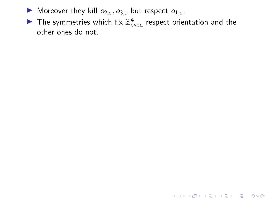- **I** Moreover they kill  $o_{2,\varepsilon}, o_{3,\varepsilon}$  but respect  $o_{1,\varepsilon}$ .
- $\blacktriangleright$  The symmetries which fix  $\mathbb{Z}_{\text{even}}^4$  respect orientation and the other ones do not.

K ロ ▶ K @ ▶ K 할 ▶ K 할 ▶ | 할 | ⊙Q @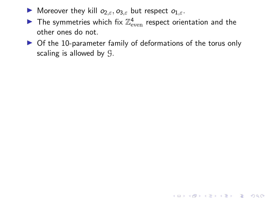- **I** Moreover they kill  $o_{2,\epsilon}, o_{3,\epsilon}$  but respect  $o_{1,\epsilon}$ .
- $\blacktriangleright$  The symmetries which fix  $\mathbb{Z}_{\text{even}}^4$  respect orientation and the other ones do not.
- $\triangleright$  Of the 10-parameter family of deformations of the torus only scaling is allowed by G.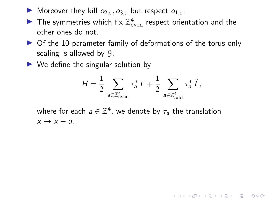- $\triangleright$  Moreover they kill  $o_{2,\varepsilon}, o_{3,\varepsilon}$  but respect  $o_{1,\varepsilon}$ .
- $\blacktriangleright$  The symmetries which fix  $\mathbb{Z}_{\text{even}}^4$  respect orientation and the other ones do not.
- $\triangleright$  Of the 10-parameter family of deformations of the torus only scaling is allowed by G.
- $\triangleright$  We define the singular solution by

$$
H = \frac{1}{2} \sum_{\mathbf{a} \in \mathbb{Z}_{even}^4} \tau_{\mathbf{a}}^* T + \frac{1}{2} \sum_{\mathbf{a} \in \mathbb{Z}_{odd}^4} \tau_{\mathbf{a}}^* \hat{T},
$$

where for each  $\textit{a} \in \mathbb{Z}^{4}$ , we denote by  $\tau_{\textit{a}}$  the translation  $x \mapsto x - a$ .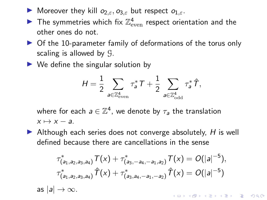- **I** Moreover they kill  $o_{2,\epsilon}, o_{3,\epsilon}$  but respect  $o_{1,\epsilon}$ .
- $\blacktriangleright$  The symmetries which fix  $\mathbb{Z}_{\text{even}}^4$  respect orientation and the other ones do not.
- $\triangleright$  Of the 10-parameter family of deformations of the torus only scaling is allowed by G.
- $\triangleright$  We define the singular solution by

$$
H = \frac{1}{2} \sum_{\mathbf{a} \in \mathbb{Z}_{even}^4} \tau_{\mathbf{a}}^* T + \frac{1}{2} \sum_{\mathbf{a} \in \mathbb{Z}_{odd}^4} \tau_{\mathbf{a}}^* \hat{T},
$$

where for each  $\textit{a} \in \mathbb{Z}^{4}$ , we denote by  $\tau_{\textit{a}}$  the translation  $x \mapsto x - a$ .

 $\blacktriangleright$  Although each series does not converge absolutely, H is well defined because there are cancellations in the sense

$$
\tau_{(a_1,a_2,a_3,a_4)}^* T(x) + \tau_{(a_3,-a_4,-a_1,a_2)}^* T(x) = O(|a|^{-5}),
$$
\n
$$
\tau_{(a_1,a_2,a_3,a_4)}^* \hat{T}(x) + \tau_{(a_3,a_4,-a_1,-a_2)}^* \hat{T}(x) = O(|a|^{-5})
$$
\nas  $|a| \to \infty$ .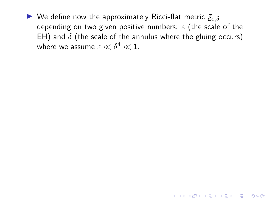K ロ ▶ K 個 ▶ K 할 ▶ K 할 ▶ 이 할 → 9 Q Q →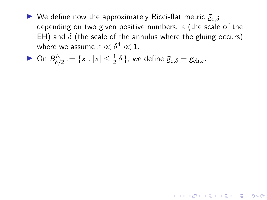K ロ ▶ K 個 ▶ K 할 ▶ K 할 ▶ 이 할 → 9 Q Q →

• On 
$$
B_{\delta/2}^{in} := \{x : |x| \le \frac{1}{2} \delta\}
$$
, we define  $\bar{g}_{\varepsilon,\delta} = g_{\text{\rm eh},\varepsilon}$ .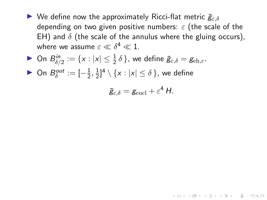• On 
$$
B_{\delta/2}^{in} := \{x : |x| \le \frac{1}{2} \delta\}
$$
, we define  $\bar{g}_{\epsilon,\delta} = g_{\epsilon h,\epsilon}$ .

► On  $B_{\delta}^{out} := \left[-\frac{1}{2}\right]$  $\frac{1}{2}, \frac{1}{2}$  $\frac{1}{2}$ ]<sup>4</sup> \ {x : |x|  $\leq \delta$  }, we define

$$
\bar{g}_{\varepsilon,\delta}=g_{\text{eucl}}+\varepsilon^4 H.
$$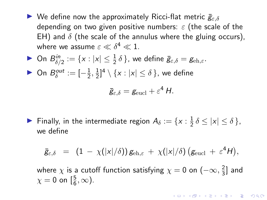• On 
$$
B_{\delta/2}^{in} := \{x : |x| \le \frac{1}{2} \delta\}
$$
, we define  $\bar{g}_{\varepsilon,\delta} = g_{\text{\rm eh},\varepsilon}$ .

► On  $B_{\delta}^{out} := \left[-\frac{1}{2}\right]$  $\frac{1}{2}, \frac{1}{2}$  $\frac{1}{2}$ ]<sup>4</sup> \ {x : |x|  $\leq \delta$  }, we define

$$
\bar{g}_{\varepsilon,\delta}=g_{\text{eucl}}+\varepsilon^4 H.
$$

**Finally, in the intermediate region**  $A_\delta := \{x : \frac{1}{2}\}$  $\frac{1}{2} \delta \leq |x| \leq \delta$ , we define

$$
\bar{g}_{\varepsilon,\delta} = (1 - \chi(|x|/\delta)) g_{\text{eh},\varepsilon} + \chi(|x|/\delta) (g_{\text{eucl}} + \varepsilon^4 H),
$$

where  $\chi$  is a cutoff function satisfying  $\chi=0$  on  $(-\infty,\frac{2}{3})$  $\frac{2}{3}$  and  $\chi=0$  on  $\left[\frac{5}{6},\infty\right)$ .

KELK KØLK VELKEN EL 1990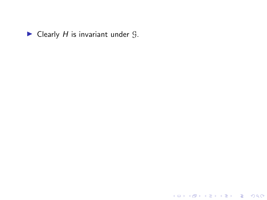

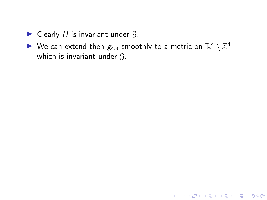- $\blacktriangleright$  Clearly H is invariant under  $\mathcal{G}$ .
- $\blacktriangleright$  We can extend then  $\bar{g}_{\varepsilon,\delta}$  smoothly to a metric on  $\mathbb{R}^4 \setminus \mathbb{Z}^4$ which is invariant under G.

KO K K Ø K K E K K E K V K K K K K K K K K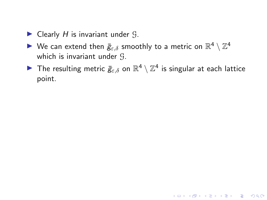- $\blacktriangleright$  Clearly H is invariant under  $\mathcal{G}$ .
- $\blacktriangleright$  We can extend then  $\bar{g}_{\varepsilon,\delta}$  smoothly to a metric on  $\mathbb{R}^4 \setminus \mathbb{Z}^4$ which is invariant under G.
- $\blacktriangleright$  The resulting metric  $\bar{g}_{\varepsilon,\delta}$  on  $\mathbb{R}^4 \setminus \mathbb{Z}^4$  is singular at each lattice point.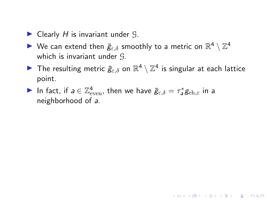- $\blacktriangleright$  Clearly H is invariant under  $\mathcal{G}$ .
- $\blacktriangleright$  We can extend then  $\bar{g}_{\varepsilon,\delta}$  smoothly to a metric on  $\mathbb{R}^4 \setminus \mathbb{Z}^4$ which is invariant under G.
- $\blacktriangleright$  The resulting metric  $\bar{g}_{\varepsilon,\delta}$  on  $\mathbb{R}^4 \setminus \mathbb{Z}^4$  is singular at each lattice point.

KO K K Ø K K E K K E K V K K K K K K K K K

In fact, if  $a \in \mathbb{Z}_{\text{\rm even}}^4$ , then we have  $\bar{g}_{\varepsilon,\delta} = \tau_a^* g_{\text{\rm eh},\varepsilon}$  in a neighborhood of a.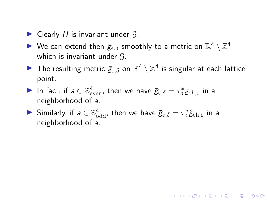- $\blacktriangleright$  Clearly H is invariant under  $\mathcal{G}$ .
- $\blacktriangleright$  We can extend then  $\bar{g}_{\varepsilon,\delta}$  smoothly to a metric on  $\mathbb{R}^4 \setminus \mathbb{Z}^4$ which is invariant under G.
- $\blacktriangleright$  The resulting metric  $\bar{g}_{\varepsilon,\delta}$  on  $\mathbb{R}^4 \setminus \mathbb{Z}^4$  is singular at each lattice point.

**KORKAR KERKER SAGA** 

- In fact, if  $a \in \mathbb{Z}_{\text{\rm even}}^4$ , then we have  $\bar{g}_{\varepsilon,\delta} = \tau_a^* g_{\text{\rm eh},\varepsilon}$  in a neighborhood of a.
- Similarly, if  $a \in \mathbb{Z}_{\text{odd}}^4$ , then we have  $\bar{g}_{\varepsilon,\delta} = \tau_a^* \hat{g}_{\text{\rm eh},\varepsilon}$  in a neighborhood of a.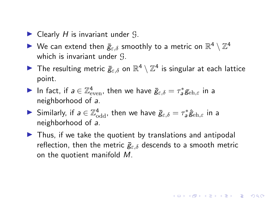- $\blacktriangleright$  Clearly H is invariant under  $\mathcal{G}$ .
- $\blacktriangleright$  We can extend then  $\bar{g}_{\varepsilon,\delta}$  smoothly to a metric on  $\mathbb{R}^4 \setminus \mathbb{Z}^4$ which is invariant under G.
- $\blacktriangleright$  The resulting metric  $\bar{g}_{\varepsilon,\delta}$  on  $\mathbb{R}^4 \setminus \mathbb{Z}^4$  is singular at each lattice point.
- In fact, if  $a \in \mathbb{Z}_{\text{\rm even}}^4$ , then we have  $\bar{g}_{\varepsilon,\delta} = \tau_a^* g_{\text{\rm eh},\varepsilon}$  in a neighborhood of a.
- Similarly, if  $a \in \mathbb{Z}_{\text{odd}}^4$ , then we have  $\bar{g}_{\varepsilon,\delta} = \tau_a^* \hat{g}_{\text{\rm eh},\varepsilon}$  in a neighborhood of a.
- $\triangleright$  Thus, if we take the quotient by translations and antipodal reflection, then the metric  $\bar{g}_{\varepsilon,\delta}$  descends to a smooth metric on the quotient manifold M.

**KORK E KERKERKERKOR**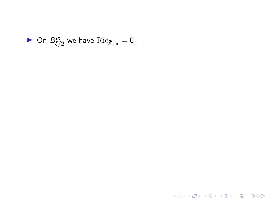

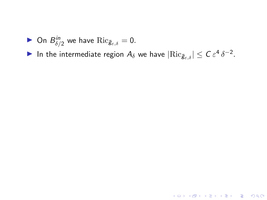▶ On  $B_{\delta/2}^{in}$  we have  $\text{Ric}_{\bar{g}_{\varepsilon,\delta}} = 0$ .

In the intermediate region  $A_{\delta}$  we have  $|\text{Ric}_{\bar{g}_{\varepsilon,\delta}}| \leq C \varepsilon^4 \, \delta^{-2}$ .

KO K K Ø K K E K K E K V K K K K K K K K K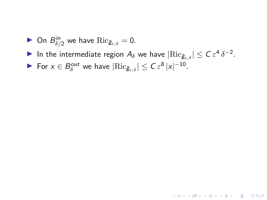- ▶ On  $B_{\delta/2}^{in}$  we have  $\text{Ric}_{\bar{g}_{\varepsilon,\delta}} = 0$ .
- In the intermediate region  $A_{\delta}$  we have  $|\text{Ric}_{\bar{g}_{\varepsilon,\delta}}| \leq C \varepsilon^4 \, \delta^{-2}$ .

► For  $x \in B_\delta^{out}$  we have  $|\text{Ric}_{\bar{g}_{\varepsilon,\delta}}| \leq C \varepsilon^8 |x|^{-10}$ .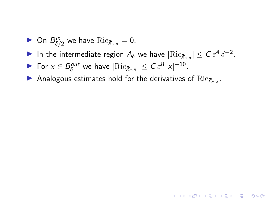- ▶ On  $B_{\delta/2}^{in}$  we have  $\text{Ric}_{\bar{g}_{\varepsilon,\delta}} = 0$ .
- In the intermediate region  $A_{\delta}$  we have  $|\text{Ric}_{\bar{g}_{\varepsilon,\delta}}| \leq C \varepsilon^4 \, \delta^{-2}$ .

- ► For  $x \in B_\delta^{out}$  we have  $|\text{Ric}_{\bar{g}_{\varepsilon,\delta}}| \leq C \varepsilon^8 |x|^{-10}$ .
- Analogous estimates hold for the derivatives of  $\text{Ric}_{\bar{g}_{\varepsilon,\delta}}$ .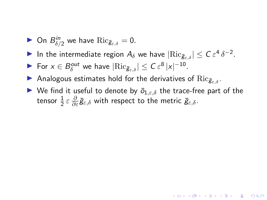- ▶ On  $B_{\delta/2}^{in}$  we have  $\text{Ric}_{\bar{g}_{\varepsilon,\delta}} = 0$ .
- In the intermediate region  $A_{\delta}$  we have  $|\text{Ric}_{\bar{g}_{\varepsilon,\delta}}| \leq C \varepsilon^4 \, \delta^{-2}$ .
- ► For  $x \in B_\delta^{out}$  we have  $|\text{Ric}_{\bar{g}_{\varepsilon,\delta}}| \leq C \varepsilon^8 |x|^{-10}$ .
- Analogous estimates hold for the derivatives of  $Ric_{\bar{g}_{\varepsilon,\delta}}$ .
- $\blacktriangleright$  We find it useful to denote by  $\bar{o}_{1,\varepsilon,\delta}$  the trace-free part of the tensor  $\frac{1}{2} \varepsilon \frac{\partial}{\partial \varepsilon} \bar{\mathcal{g}}_{\varepsilon, \delta}$  with respect to the metric  $\bar{\mathcal{g}}_{\varepsilon, \delta}.$

**KORKAR KERKER SAGA**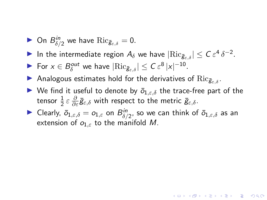- ▶ On  $B_{\delta/2}^{in}$  we have  $\text{Ric}_{\bar{g}_{\varepsilon,\delta}} = 0$ .
- In the intermediate region  $A_{\delta}$  we have  $|\text{Ric}_{\bar{g}_{\varepsilon,\delta}}| \leq C \varepsilon^4 \, \delta^{-2}$ .
- ► For  $x \in B_\delta^{out}$  we have  $|\text{Ric}_{\bar{g}_{\varepsilon,\delta}}| \leq C \varepsilon^8 |x|^{-10}$ .
- Analogous estimates hold for the derivatives of  $\text{Ric}_{\bar{g}_{\varepsilon,\delta}}$ .
- $\blacktriangleright$  We find it useful to denote by  $\bar{o}_{1,\varepsilon,\delta}$  the trace-free part of the tensor  $\frac{1}{2} \varepsilon \frac{\partial}{\partial \varepsilon} \bar{\mathcal{g}}_{\varepsilon, \delta}$  with respect to the metric  $\bar{\mathcal{g}}_{\varepsilon, \delta}.$
- $\blacktriangleright$  Clearly,  $\bar{o}_{1,\varepsilon,\delta}=o_{1,\varepsilon}$  on  $B^{in}_{\delta/2}$ , so we can think of  $\bar{o}_{1,\varepsilon,\delta}$  as an extension of  $o_{1,\varepsilon}$  to the manifold M.

4 0 > 4 4 + 4 = + 4 = + = + + 0 4 0 +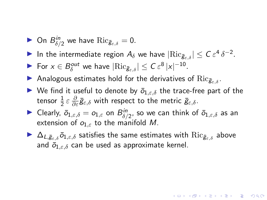- ▶ On  $B_{\delta/2}^{in}$  we have  $\text{Ric}_{\bar{g}_{\varepsilon,\delta}} = 0$ .
- In the intermediate region  $A_{\delta}$  we have  $|\text{Ric}_{\bar{g}_{\varepsilon,\delta}}| \leq C \varepsilon^4 \, \delta^{-2}$ .
- ► For  $x \in B_\delta^{out}$  we have  $|\text{Ric}_{\bar{g}_{\varepsilon,\delta}}| \leq C \varepsilon^8 |x|^{-10}$ .
- Analogous estimates hold for the derivatives of  $Ric_{\bar{g}_{\varepsilon,\delta}}$ .
- $\blacktriangleright$  We find it useful to denote by  $\bar{o}_{1,\varepsilon,\delta}$  the trace-free part of the tensor  $\frac{1}{2} \varepsilon \frac{\partial}{\partial \varepsilon} \bar{\mathcal{g}}_{\varepsilon, \delta}$  with respect to the metric  $\bar{\mathcal{g}}_{\varepsilon, \delta}.$
- $\blacktriangleright$  Clearly,  $\bar{o}_{1,\varepsilon,\delta}=o_{1,\varepsilon}$  on  $B^{in}_{\delta/2}$ , so we can think of  $\bar{o}_{1,\varepsilon,\delta}$  as an extension of  $o_{1,\varepsilon}$  to the manifold M.
- $\triangleright$   $\Delta_{L,\bar{g}_{\varepsilon,\delta}}\bar{o}_{1,\varepsilon,\delta}$  satisfies the same estimates with  $\mathrm{Ric}_{\bar{g}_{\varepsilon,\delta}}$  above and  $\bar{o}_{1,\varepsilon,\delta}$  can be used as approximate kernel.

4 0 > 4 4 + 4 = + 4 = + = + + 0 4 0 +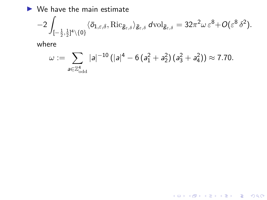$\blacktriangleright$  We have the main estimate

$$
-2\int_{[-\frac{1}{2},\frac{1}{2}]^4\backslash\{0\}}\langle \bar{o}_{1,\varepsilon,\delta},\mathrm{Ric}_{\bar{g}_{\varepsilon,\delta}}\rangle_{\bar{g}_{\varepsilon,\delta}}\,d\mathrm{vol}_{\bar{g}_{\varepsilon,\delta}}=32\pi^2\omega\,\varepsilon^8+O(\varepsilon^8\,\delta^2).
$$

where

$$
\omega := \sum_{\mathsf{a} \in \mathbb{Z}_{\text{\rm odd}}^4} |\mathsf{a}|^{-10} \left( |\mathsf{a}|^4 - 6\left( \mathsf{a}_1^2 + \mathsf{a}_2^2 \right)\left( \mathsf{a}_3^2 + \mathsf{a}_4^2 \right) \right) \approx 7.70.
$$

K ロ ▶ K @ ▶ K 할 ▶ K 할 ▶ | 할 | ⊙Q @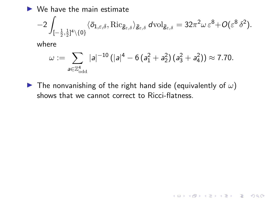$\blacktriangleright$  We have the main estimate

$$
-2\int_{[-\frac{1}{2},\frac{1}{2}]^4\backslash\{0\}}\langle \bar{o}_{1,\varepsilon,\delta},\mathrm{Ric}_{\bar{g}_{\varepsilon,\delta}}\rangle_{\bar{g}_{\varepsilon,\delta}}\,d\mathrm{vol}_{\bar{g}_{\varepsilon,\delta}}=32\pi^2\omega\,\varepsilon^8+O(\varepsilon^8\,\delta^2).
$$

where

$$
\omega := \sum_{\mathsf{a} \in \mathbb{Z}_{\text{\rm odd}}^4} | \mathsf{a} |^{-10} \, (|\mathsf{a}|^4 - 6 \, (\mathsf{a}_1^2 + \mathsf{a}_2^2) \, (\mathsf{a}_3^2 + \mathsf{a}_4^2)) \approx 7.70.
$$

**I** The nonvanishing of the right hand side (equivalently of  $\omega$ ) shows that we cannot correct to Ricci-flatness.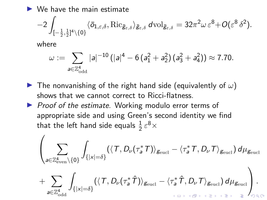$\triangleright$  We have the main estimate

$$
-2\int_{[-\frac{1}{2},\frac{1}{2}]^4\backslash\{0\}}\langle \bar{o}_{1,\varepsilon,\delta},\mathrm{Ric}_{\bar{g}_{\varepsilon,\delta}}\rangle_{\bar{g}_{\varepsilon,\delta}}\,d\mathrm{vol}_{\bar{g}_{\varepsilon,\delta}}=32\pi^2\omega\,\varepsilon^8+O(\varepsilon^8\,\delta^2).
$$

where

$$
\omega := \sum_{\mathsf{a} \in \mathbb{Z}_{\text{\rm odd}}^4} | \mathsf{a} |^{-10} \, (|\mathsf{a}|^4 - 6 \, (\mathsf{a}_1^2 + \mathsf{a}_2^2) \, (\mathsf{a}_3^2 + \mathsf{a}_4^2)) \approx 7.70.
$$

- **I** The nonvanishing of the right hand side (equivalently of  $\omega$ ) shows that we cannot correct to Ricci-flatness.
- $\triangleright$  Proof of the estimate. Working modulo error terms of appropriate side and using Green's second identity we find that the left hand side equals  $\frac{1}{2} \, \varepsilon^8 \times$

$$
\left(\sum_{a\in\mathbb{Z}_{even}^4\setminus\{0\}}\int_{\{|x|=\delta\}} (\langle T,D_{\nu}(\tau_a^*T)\rangle_{g_{\text{eucl}}} - \langle \tau_a^*T,D_{\nu}T\rangle_{g_{\text{eucl}}})\,d\mu_{g_{\text{eucl}}} + \sum_{a\in\mathbb{Z}_{odd}^4}\int_{\{|x|=\delta\}} (\langle T,D_{\nu}(\tau_a^*\hat{T})\rangle_{g_{\text{eucl}}} - \langle \tau_a^*\hat{T},D_{\nu}T\rangle_{g_{\text{eucl}}})\,d\mu_{g_{\text{eucl}}} \right).
$$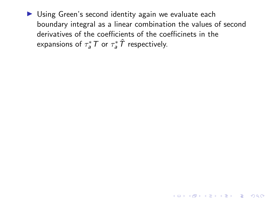$\triangleright$  Using Green's second identity again we evaluate each boundary integral as a linear combination the values of second derivatives of the coefficients of the coefficinets in the expansions of  $\tau_a^* \mathcal{T}$  or  $\tau_a^* \hat{\mathcal{T}}$  respectively.

4 0 > 4 4 + 4 = + 4 = + = + + 0 4 0 +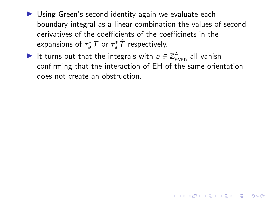- $\triangleright$  Using Green's second identity again we evaluate each boundary integral as a linear combination the values of second derivatives of the coefficients of the coefficinets in the expansions of  $\tau_a^* \mathcal{T}$  or  $\tau_a^* \hat{\mathcal{T}}$  respectively.
- It turns out that the integrals with  $a \in \mathbb{Z}_{\text{\rm even}}^4$  all vanish confirming that the interaction of EH of the same orientation does not create an obstruction.

**KORK EXTERNE PROVIDE**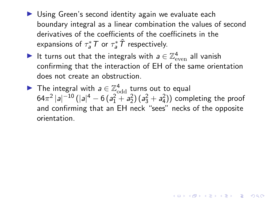- $\triangleright$  Using Green's second identity again we evaluate each boundary integral as a linear combination the values of second derivatives of the coefficients of the coefficinets in the expansions of  $\tau_a^* \mathcal{T}$  or  $\tau_a^* \hat{\mathcal{T}}$  respectively.
- It turns out that the integrals with  $a \in \mathbb{Z}_{\text{\rm even}}^4$  all vanish confirming that the interaction of EH of the same orientation does not create an obstruction.
- The integral with  $a \in \mathbb{Z}_{\text{odd}}^4$  turns out to equal  $64\pi^2\,|a|^{-10}\,(|a|^4 - 6\,(a_1^2 + a_2^2)\,(a_3^2 + a_4^2))$  completing the proof and confirming that an EH neck "sees" necks of the opposite orientation.

**KORK EXTERNE PROVIDE**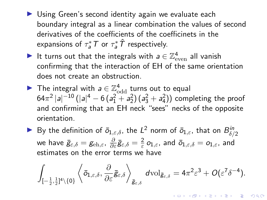- $\triangleright$  Using Green's second identity again we evaluate each boundary integral as a linear combination the values of second derivatives of the coefficients of the coefficinets in the expansions of  $\tau_a^* \mathcal{T}$  or  $\tau_a^* \hat{\mathcal{T}}$  respectively.
- It turns out that the integrals with  $a \in \mathbb{Z}_{\text{\rm even}}^4$  all vanish confirming that the interaction of EH of the same orientation does not create an obstruction.
- The integral with  $a \in \mathbb{Z}_{\text{odd}}^4$  turns out to equal  $64\pi^2\,|a|^{-10}\,(|a|^4 - 6\,(a_1^2 + a_2^2)\,(a_3^2 + a_4^2))$  completing the proof and confirming that an EH neck "sees" necks of the opposite orientation.
- By the definition of  $\bar{o}_{1,\varepsilon,\delta}$ , the  $L^2$  norm of  $\bar{o}_{1,\varepsilon}$ , that on  $B_{\delta/2}^{in}$ we have  $\bar{g}_{\varepsilon,\delta}=g_{\text{\rm eh},\varepsilon}$ ,  $\frac{\partial}{\partial\varepsilon}\bar{g}_{\varepsilon,\delta}=\frac{2}{\varepsilon}$  $\frac{2}{\varepsilon}\,o_{1,\varepsilon}$ , and  $\bar{o}_{1,\varepsilon,\delta}=o_{1,\varepsilon}$ , and estimates on the error terms we have

$$
\int_{[-\frac{1}{2},\frac{1}{2}]^4 \setminus \{0\}} \left\langle \bar{o}_{1,\varepsilon,\delta}, \frac{\partial}{\partial \varepsilon} \bar{g}_{\varepsilon,\delta} \right\rangle_{\bar{g}_{\varepsilon,\delta}} \, d\text{\rm vol}_{\bar{g}_{\varepsilon,\delta}} = 4\pi^2 \varepsilon^3 + O(\varepsilon^7 \delta^{-4}).
$$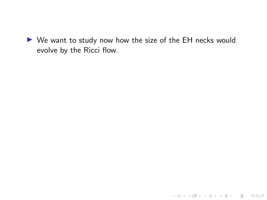$\triangleright$  We want to study now how the size of the EH necks would evolve by the Ricci flow.

K ロ ▶ K @ ▶ K 할 ▶ K 할 ▶ | 할 | ⊙Q @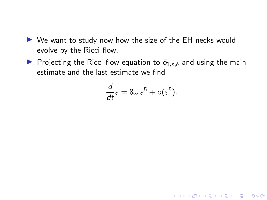- $\triangleright$  We want to study now how the size of the EH necks would evolve by the Ricci flow.
- **Projecting the Ricci flow equation to**  $\bar{o}_{1,\epsilon,\delta}$  **and using the main** estimate and the last estimate we find

$$
\frac{d}{dt}\varepsilon = 8\omega \varepsilon^5 + o(\varepsilon^5).
$$

K ロ ▶ K @ ▶ K 할 ▶ K 할 ▶ | 할 | © 9 Q @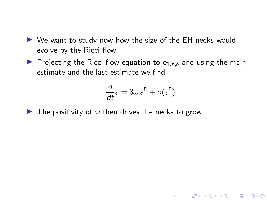- $\triangleright$  We want to study now how the size of the EH necks would evolve by the Ricci flow.
- **Projecting the Ricci flow equation to**  $\bar{o}_{1,\epsilon,\delta}$  **and using the main** estimate and the last estimate we find

$$
\frac{d}{dt}\varepsilon = 8\omega\,\varepsilon^5 + o(\varepsilon^5).
$$

K ロ ▶ K 個 ▶ K 할 ▶ K 할 ▶ 이 할 → 9 Q Q →

 $\blacktriangleright$  The positivity of  $\omega$  then drives the necks to grow.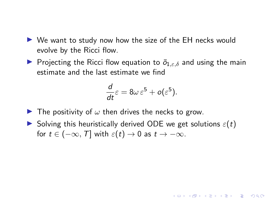- $\triangleright$  We want to study now how the size of the EH necks would evolve by the Ricci flow.
- **Projecting the Ricci flow equation to**  $\bar{o}_{1,\epsilon,\delta}$  **and using the main** estimate and the last estimate we find

$$
\frac{d}{dt}\varepsilon = 8\omega\,\varepsilon^5 + o(\varepsilon^5).
$$

**KORKARYKERKER POLO** 

- $\blacktriangleright$  The positivity of  $\omega$  then drives the necks to grow.
- $\triangleright$  Solving this heuristically derived ODE we get solutions  $\varepsilon(t)$ for  $t \in (-\infty, T]$  with  $\varepsilon(t) \to 0$  as  $t \to -\infty$ .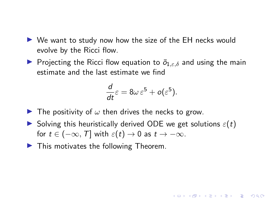- $\triangleright$  We want to study now how the size of the EH necks would evolve by the Ricci flow.
- **P** Projecting the Ricci flow equation to  $\bar{o}_{1,\varepsilon,\delta}$  and using the main estimate and the last estimate we find

$$
\frac{d}{dt}\varepsilon = 8\omega\,\varepsilon^5 + o(\varepsilon^5).
$$

**KORKARYKERKER POLO** 

- $\blacktriangleright$  The positivity of  $\omega$  then drives the necks to grow.
- $\triangleright$  Solving this heuristically derived ODE we get solutions  $\varepsilon(t)$ for  $t \in (-\infty, T]$  with  $\varepsilon(t) \to 0$  as  $t \to -\infty$ .
- $\blacktriangleright$  This motivates the following Theorem.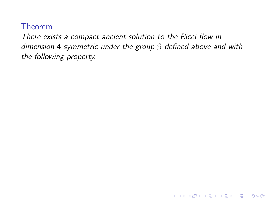There exists a compact ancient solution to the Ricci flow in dimension 4 symmetric under the group G defined above and with the following property.

K ロ ▶ K 個 ▶ K 할 ▶ K 할 ▶ 이 할 → 9 Q Q →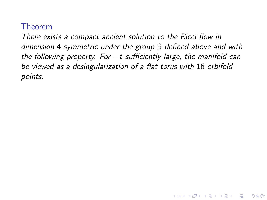There exists a compact ancient solution to the Ricci flow in dimension 4 symmetric under the group G defined above and with the following property. For  $-t$  sufficiently large, the manifold can be viewed as a desingularization of a flat torus with 16 orbifold points.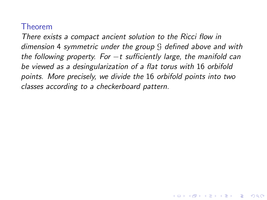There exists a compact ancient solution to the Ricci flow in dimension 4 symmetric under the group G defined above and with the following property. For  $-t$  sufficiently large, the manifold can be viewed as a desingularization of a flat torus with 16 orbifold points. More precisely, we divide the 16 orbifold points into two classes according to a checkerboard pattern.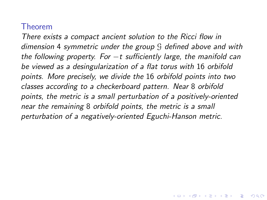There exists a compact ancient solution to the Ricci flow in dimension 4 symmetric under the group G defined above and with the following property. For  $-t$  sufficiently large, the manifold can be viewed as a desingularization of a flat torus with 16 orbifold points. More precisely, we divide the 16 orbifold points into two classes according to a checkerboard pattern. Near 8 orbifold points, the metric is a small perturbation of a positively-oriented near the remaining 8 orbifold points, the metric is a small perturbation of a negatively-oriented Eguchi-Hanson metric.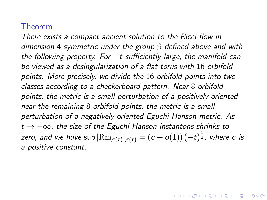There exists a compact ancient solution to the Ricci flow in dimension 4 symmetric under the group G defined above and with the following property. For  $-t$  sufficiently large, the manifold can be viewed as a desingularization of a flat torus with 16 orbifold points. More precisely, we divide the 16 orbifold points into two classes according to a checkerboard pattern. Near 8 orbifold points, the metric is a small perturbation of a positively-oriented near the remaining 8 orbifold points, the metric is a small perturbation of a negatively-oriented Eguchi-Hanson metric. As  $t \rightarrow -\infty$ , the size of the Eguchi-Hanson instantons shrinks to zero, and we have sup  $|\text{Rm}_{\bm{\mathcal{g}}(t)}|_{\bm{\mathcal{g}}(t)}=(c+o(1))\hspace{0.2mm}(-t)^{\frac{1}{2}},$  where  $c$  is a positive constant.

**KORKAR KERKER SAGA**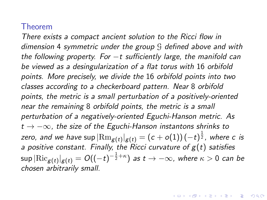There exists a compact ancient solution to the Ricci flow in dimension 4 symmetric under the group G defined above and with the following property. For  $-t$  sufficiently large, the manifold can be viewed as a desingularization of a flat torus with 16 orbifold points. More precisely, we divide the 16 orbifold points into two classes according to a checkerboard pattern. Near 8 orbifold points, the metric is a small perturbation of a positively-oriented near the remaining 8 orbifold points, the metric is a small perturbation of a negatively-oriented Eguchi-Hanson metric. As  $t \rightarrow -\infty$ , the size of the Eguchi-Hanson instantons shrinks to zero, and we have sup  $|\text{Rm}_{\bm{\mathcal{g}}(t)}|_{\bm{\mathcal{g}}(t)}=(c+o(1))\hspace{0.2mm}(-t)^{\frac{1}{2}},$  where  $c$  is a positive constant. Finally, the Ricci curvature of  $g(t)$  satisfies  $\sup|\text{Ric}_{\mathcal{g}(t)}|_{\mathcal{g}(t)}=O((-t)^{-\frac{1}{2}+\kappa})$  as  $t\to -\infty$ , where  $\kappa>0$  can be chosen arbitrarily small.

.<br>◆ ロ ▶ ◆ ④ ▶ ◆ 경 ▶ → 통 ▶ │ 통 │ ◆ 9 Q (◆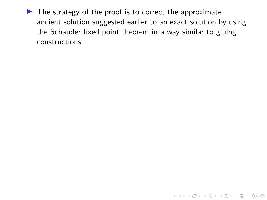$\blacktriangleright$  The strategy of the proof is to correct the approximate ancient solution suggested earlier to an exact solution by using the Schauder fixed point theorem in a way similar to gluing constructions.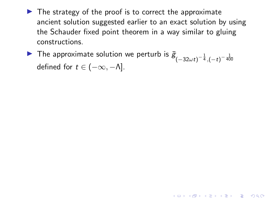$\blacktriangleright$  The strategy of the proof is to correct the approximate ancient solution suggested earlier to an exact solution by using the Schauder fixed point theorem in a way similar to gluing constructions.

▶ The approximate solution we perturb is  $\bar{g}_{(-32\omega t)^{-\frac{1}{4}}, (-t)^{-\frac{1}{400}}}$ defined for  $t \in (-\infty, -\Lambda]$ .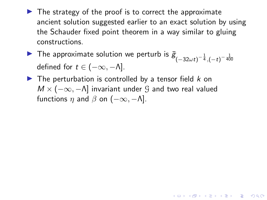$\blacktriangleright$  The strategy of the proof is to correct the approximate ancient solution suggested earlier to an exact solution by using the Schauder fixed point theorem in a way similar to gluing constructions.

**KORKAR KERKER SAGA** 

- ▶ The approximate solution we perturb is  $\bar{g}_{(-32\omega t)^{-\frac{1}{4}}, (-t)^{-\frac{1}{400}}}$ defined for  $t \in (-\infty, -\Lambda]$ .
- $\blacktriangleright$  The perturbation is controlled by a tensor field k on  $M \times (-\infty, -\Lambda]$  invariant under  $\mathcal G$  and two real valued functions  $\eta$  and  $\beta$  on  $(-\infty, -\Lambda]$ .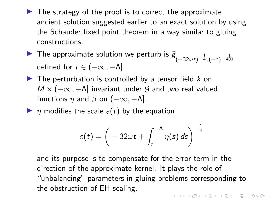- $\blacktriangleright$  The strategy of the proof is to correct the approximate ancient solution suggested earlier to an exact solution by using the Schauder fixed point theorem in a way similar to gluing constructions.
- ▶ The approximate solution we perturb is  $\bar{g}_{(-32\omega t)^{-\frac{1}{4}}, (-t)^{-\frac{1}{400}}}$ defined for  $t \in (-\infty, -\Lambda]$ .
- $\blacktriangleright$  The perturbation is controlled by a tensor field  $k$  on  $M \times (-\infty, -\Lambda]$  invariant under G and two real valued functions  $\eta$  and  $\beta$  on  $(-\infty, -\Lambda]$ .
- $\blacktriangleright$   $\eta$  modifies the scale  $\varepsilon(t)$  by the equation

$$
\varepsilon(t)=\bigg(-32\omega t+\int_t^{-\Lambda}\eta(s)\,ds\bigg)^{-\frac{1}{4}}
$$

and its purpose is to compensate for the error term in the direction of the approximate kernel. It plays the role of "unbalancing" parameters in gluing problems corresponding to the obstruction of EH scaling.YO A 4 4 4 4 5 A 4 5 A 4 D + 4 D + 4 D + 4 D + 4 D + 4 D + + E + + D + + E + + O + O + + + + + + + +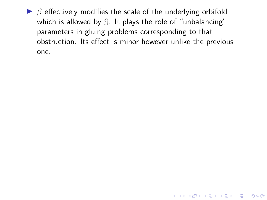$\triangleright$   $\beta$  effectively modifies the scale of the underlying orbifold which is allowed by  $G$ . It plays the role of "unbalancing" parameters in gluing problems corresponding to that obstruction. Its effect is minor however unlike the previous one.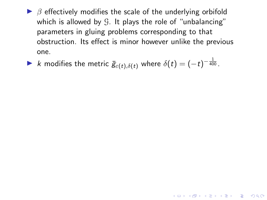$\triangleright$   $\beta$  effectively modifies the scale of the underlying orbifold which is allowed by  $G$ . It plays the role of "unbalancing" parameters in gluing problems corresponding to that obstruction. Its effect is minor however unlike the previous one.

▶  $k$  modifies the metric  $\bar{g}_{\varepsilon(t),\delta(t)}$  where  $\delta(t)=(-t)^{-\frac{1}{400}}.$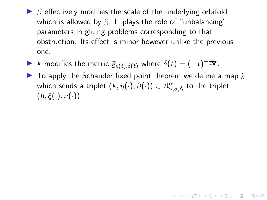- $\triangleright$   $\beta$  effectively modifies the scale of the underlying orbifold which is allowed by  $\mathcal{G}$ . It plays the role of "unbalancing" parameters in gluing problems corresponding to that obstruction. Its effect is minor however unlike the previous one.
- ▶  $k$  modifies the metric  $\bar{g}_{\varepsilon(t),\delta(t)}$  where  $\delta(t)=(-t)^{-\frac{1}{400}}.$
- $\triangleright$  To apply the Schauder fixed point theorem we define a map  $\mathcal J$ which sends a triplet  $(k,\eta(\cdot),\beta(\cdot))\in$   $\mathcal{A}_{\gamma,\sigma,\Lambda}^{\alpha}$  to the triplet  $(h, \xi(\cdot), \nu(\cdot)).$

**KORKAR KERKER SAGA**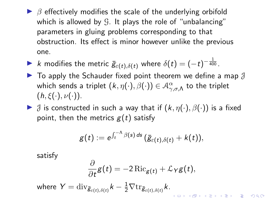- $\triangleright$   $\beta$  effectively modifies the scale of the underlying orbifold which is allowed by  $\mathcal{G}$ . It plays the role of "unbalancing" parameters in gluing problems corresponding to that obstruction. Its effect is minor however unlike the previous one.
- ▶  $k$  modifies the metric  $\bar{g}_{\varepsilon(t),\delta(t)}$  where  $\delta(t)=(-t)^{-\frac{1}{400}}.$
- $\blacktriangleright$  To apply the Schauder fixed point theorem we define a map  $\mathcal J$ which sends a triplet  $(k,\eta(\cdot),\beta(\cdot))\in$   $\mathcal{A}_{\gamma,\sigma,\Lambda}^{\alpha}$  to the triplet  $(h, \xi(\cdot), \nu(\cdot)).$
- $\triangleright$   $\beta$  is constructed in such a way that if  $(k, \eta(\cdot), \beta(\cdot))$  is a fixed point, then the metrics  $g(t)$  satisfy

$$
g(t):=e^{\int_t^{-\Lambda}\beta(s)\,ds}\,(\bar{g}_{\varepsilon(t),\delta(t)}+k(t)),
$$

satisfy

$$
\frac{\partial}{\partial t}g(t)=-2\operatorname{Ric}_{g(t)}+\mathcal{L}_Yg(t),
$$

where  $Y = \text{\rm div}_{\bar{\mathcal{B}}_{\varepsilon(t),\delta(t)}} k - \frac{1}{2} \nabla \text{\rm tr}_{\bar{\mathcal{B}}_{\varepsilon(t),\delta(t)}} k.$ 

∂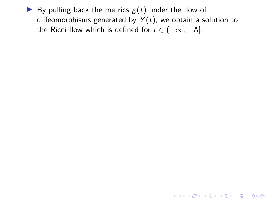By pulling back the metrics  $g(t)$  under the flow of diffeomorphisms generated by  $Y(t)$ , we obtain a solution to the Ricci flow which is defined for  $t \in (-\infty, -\Lambda]$ .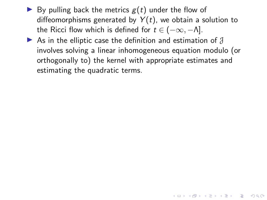- $\blacktriangleright$  By pulling back the metrics  $g(t)$  under the flow of diffeomorphisms generated by  $Y(t)$ , we obtain a solution to the Ricci flow which is defined for  $t \in (-\infty, -\Lambda]$ .
- As in the elliptic case the definition and estimation of  $\beta$ involves solving a linear inhomogeneous equation modulo (or orthogonally to) the kernel with appropriate estimates and estimating the quadratic terms.

4 0 > 4 4 + 4 = + 4 = + = + + 0 4 0 +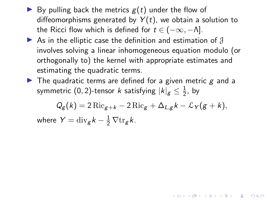- $\blacktriangleright$  By pulling back the metrics  $g(t)$  under the flow of diffeomorphisms generated by  $Y(t)$ , we obtain a solution to the Ricci flow which is defined for  $t \in (-\infty, -\Lambda]$ .
- As in the elliptic case the definition and estimation of  $\beta$ involves solving a linear inhomogeneous equation modulo (or orthogonally to) the kernel with appropriate estimates and estimating the quadratic terms.
- $\triangleright$  The quadratic terms are defined for a given metric g and a symmetric (0, 2)-tensor  $k$  satisfying  $\left|k\right|_{\mathcal{g}}\leq\frac{1}{2}$  $\frac{1}{2}$ , by

 $Q_{g}(k) = 2 \operatorname{Ric}_{g+k} - 2 \operatorname{Ric}_{g} + \Delta_{L,g} k - \mathcal{L}_{Y}(g+k),$ where  $Y = \text{div}_{g} k - \frac{1}{2} \nabla \text{tr}_{g} k$ .

YO A 4 4 4 4 5 A 4 5 A 4 D + 4 D + 4 D + 4 D + 4 D + 4 D + + E + + D + + E + + O + O + + + + + + + +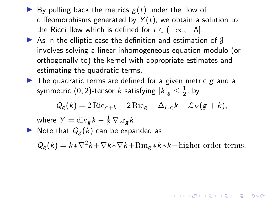- <span id="page-92-0"></span> $\blacktriangleright$  By pulling back the metrics  $g(t)$  under the flow of diffeomorphisms generated by  $Y(t)$ , we obtain a solution to the Ricci flow which is defined for  $t \in (-\infty, -\Lambda]$ .
- As in the elliptic case the definition and estimation of  $\beta$ involves solving a linear inhomogeneous equation modulo (or orthogonally to) the kernel with appropriate estimates and estimating the quadratic terms.
- $\blacktriangleright$  The quadratic terms are defined for a given metric  $g$  and a symmetric (0, 2)-tensor  $k$  satisfying  $\left|k\right|_{\mathcal{g}}\leq\frac{1}{2}$  $\frac{1}{2}$ , by

$$
Q_g(k) = 2 \operatorname{Ric}_{g+k} - 2 \operatorname{Ric}_g + \Delta_{L,g} k - \mathcal{L}_Y(g+k),
$$

where  $Y = \text{div}_{g} k - \frac{1}{2} \nabla \text{tr}_{g} k$ .

 $\blacktriangleright$  Note that  $Q_{\mathcal{E}}(k)$  can be expanded as

 $Q_g(k) = k \cdot \nabla^2 k + \nabla k \cdot \nabla k + \text{Rm}_g \cdot k \cdot k + \text{higher order terms}.$ 

KID KA KERKER E VOOR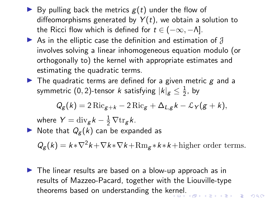- $\blacktriangleright$  By pulling back the metrics  $g(t)$  under the flow of diffeomorphisms generated by  $Y(t)$ , we obtain a solution to the Ricci flow which is defined for  $t \in (-\infty, -\Lambda]$ .
- As in the elliptic case the definition and estimation of  $\mathcal J$ involves solving a linear inhomogeneous equation modulo (or orthogonally to) the kernel with appropriate estimates and estimating the quadratic terms.
- $\blacktriangleright$  The quadratic terms are defined for a given metric  $g$  and a symmetric (0, 2)-tensor  $k$  satisfying  $\left|k\right|_{\mathcal{g}}\leq\frac{1}{2}$  $\frac{1}{2}$ , by

$$
Q_g(k) = 2 \operatorname{Ric}_{g+k} - 2 \operatorname{Ric}_g + \Delta_{L,g} k - \mathcal{L}_Y(g+k),
$$

where  $Y = \text{div}_{g} k - \frac{1}{2} \nabla \text{tr}_{g} k$ .

 $\blacktriangleright$  Note that  $Q_{\mathcal{E}}(k)$  can be expanded as

 $Q_g(k) = k \cdot \nabla^2 k + \nabla k \cdot \nabla k + \text{Rm}_g \cdot k \cdot k + \text{higher order terms}.$ 

 $\triangleright$  The linear results are based on a blow-up approach as in results of Mazzeo-Pacard, together with the Liouville-type theorems based on understanding the k[ern](#page-92-0)[el.](#page-94-0)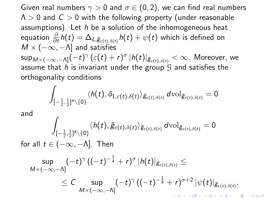<span id="page-94-0"></span>Given real numbers  $\gamma > 0$  and  $\sigma \in (0, 2)$ , we can find real numbers  $\Lambda > 0$  and  $C > 0$  with the following property (under reasonable assumptions). Let  $h$  be a solution of the inhomogeneous heat equation  $\frac{\partial}{\partial t} h(t) = \Delta_{L, \bar{\mathcal{B}}_{\varepsilon(t), \delta(t)}} h(t) + \psi(t)$  which is defined on  $M \times (-\infty, -\Lambda]$  and satisfies  $\sup_{M\times (-\infty,-\Lambda]}(-t)^\gamma\, (\varepsilon(t)+r)^\sigma\, |h(t)|_{\bar{\mathcal{B}}_{\varepsilon(t),\delta(t)}}<\infty.$  Moreover, we assume that h is invariant under the group  $\mathcal G$  and satisfies the orthogonality conditions

$$
\int_{[-\frac{1}{2},\frac{1}{2}]^4 \setminus \{0\}} \langle h(t),\bar{o}_{1,\varepsilon(t),\delta(t)}\rangle_{\bar{g}_{\varepsilon(t),\delta(t)}}\, d\text{\rm vol}_{\bar{g}_{\varepsilon(t),\delta(t)}}=0
$$

and

$$
\int_{[-\frac{1}{2},\frac{1}{2}]^4 \setminus \{0\}} \langle h(t),\bar{g}_{\varepsilon(t),\delta(t)}\rangle_{\bar{g}_{\varepsilon(t),\delta(t)}} d\mathrm{vol}_{\bar{g}_{\varepsilon(t),\delta(t)}} = 0
$$

for all  $t \in (-\infty, -\Lambda]$ . Then

$$
\sup_{M\times (-\infty,-\Lambda]} (-t)^\gamma \left((-t)^{-\frac{1}{4}}+r\right)^\sigma |h(t)|_{\bar{\mathcal{B}}_{\varepsilon(t),\delta(t)}}\leq \\ \leq C \sup_{M\times (-\infty,-\Lambda]} (-t)^\gamma \left((-t)^{-\frac{1}{4}}+r\right)^{\sigma+2} |\psi(t)|_{\bar{\mathcal{B}}_{\varepsilon(t),\delta(t)}}.
$$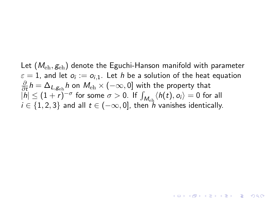Let  $(M_{\text{eh}}, g_{\text{eh}})$  denote the Eguchi-Hanson manifold with parameter  $\varepsilon=1$ , and let  $o_i:=o_{i,1}.$  Let  $h$  be a solution of the heat equation ∂  $\frac{\partial}{\partial t} h = \Delta_{L,\mathcal{g}_{\text{\rm eh}}} h$  on  $M_{\text{\rm eh}} \times (-\infty,0]$  with the property that  $|h| \leq (1+r)^{-\sigma}$  for some  $\sigma > 0$ . If  $\int_{M_{\text{eh}}} \langle h(t), o_i \rangle = 0$  for all  $i \in \{1, 2, 3\}$  and all  $t \in (-\infty, 0]$ , then  $\ddot{h}$  vanishes identically.

**ALLAMATA STARS**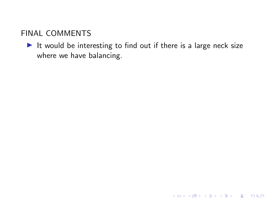It would be interesting to find out if there is a large neck size where we have balancing.

K ロ ▶ K @ ▶ K 할 ▶ K 할 ▶ | 할 | © 9 Q @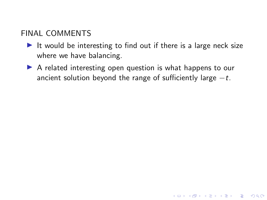- It would be interesting to find out if there is a large neck size where we have balancing.
- $\triangleright$  A related interesting open question is what happens to our ancient solution beyond the range of sufficiently large  $-t$ .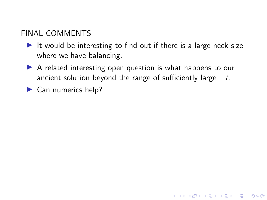- It would be interesting to find out if there is a large neck size where we have balancing.
- $\triangleright$  A related interesting open question is what happens to our ancient solution beyond the range of sufficiently large  $-t$ .

**KORK ERKER ADAM ADA** 

 $\blacktriangleright$  Can numerics help?